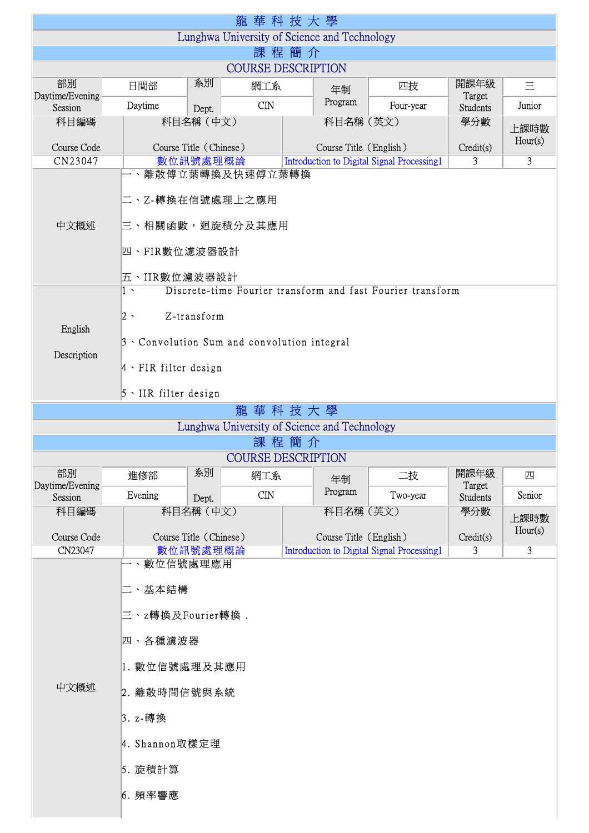| 龍華科技大學                                       |                                                                                                                                                                                                                            |           |                |                                                                             |           |                             |                 |  |
|----------------------------------------------|----------------------------------------------------------------------------------------------------------------------------------------------------------------------------------------------------------------------------|-----------|----------------|-----------------------------------------------------------------------------|-----------|-----------------------------|-----------------|--|
| Lunghwa University of Science and Technology |                                                                                                                                                                                                                            |           |                |                                                                             |           |                             |                 |  |
| 課 程 簡 介                                      |                                                                                                                                                                                                                            |           |                |                                                                             |           |                             |                 |  |
| <b>COURSE DESCRIPTION</b>                    |                                                                                                                                                                                                                            |           |                |                                                                             |           |                             |                 |  |
| 部別<br>Daytime/Evening<br>Session             | 日間部                                                                                                                                                                                                                        | 系別        | 網工系            | 年制                                                                          | 四技        | 開課年級<br>Target              | 三               |  |
|                                              | Daytime                                                                                                                                                                                                                    | Dept.     | $\mathbf{CIN}$ | Program                                                                     | Four-year | <b>Students</b>             | Junior          |  |
| 科目編碼                                         |                                                                                                                                                                                                                            | 科目名稱 (中文) |                | 科目名稱 (英文)                                                                   |           | 學分數                         | 上課時數<br>Hour(s) |  |
| Course Code                                  | Course Title (Chinese)                                                                                                                                                                                                     |           |                | Course Title (English)                                                      | Credit(s) |                             |                 |  |
| CN23047                                      | 數位訊號處理概論<br>3<br>Introduction to Digital Signal Processing1<br>-、離散傅立葉轉換及快速傅立葉轉換                                                                                                                                           |           |                |                                                                             |           |                             | $\overline{3}$  |  |
| 中文概述                                         | □ 、Z-轉換在信號處理上之應用<br> 三、相關函數,迴旋積分及其應用<br>四、FIR數位濾波器設計<br>五、IIR數位濾波器設計                                                                                                                                                       |           |                |                                                                             |           |                             |                 |  |
| English<br>Description                       | Discrete-time Fourier transform and fast Fourier transform<br>$1 \cdot$<br>Z-transform<br>$ 2 \rangle$<br>$3 \cdot$ Convolution Sum and convolution integral<br>$4 \cdot$ FIR filter design<br>$5 \cdot$ IIR filter design |           |                |                                                                             |           |                             |                 |  |
| 龍華科技大學                                       |                                                                                                                                                                                                                            |           |                |                                                                             |           |                             |                 |  |
|                                              |                                                                                                                                                                                                                            |           |                | Lunghwa University of Science and Technology                                |           |                             |                 |  |
| 課 程 簡 介                                      |                                                                                                                                                                                                                            |           |                |                                                                             |           |                             |                 |  |
| <b>COURSE DESCRIPTION</b>                    |                                                                                                                                                                                                                            |           |                |                                                                             |           |                             |                 |  |
| 部別                                           | 進修部                                                                                                                                                                                                                        | 系別        | 網工系            | 年制                                                                          | 二技        | 開課年級                        | 四               |  |
| Daytime/Evening<br>Session                   | Evening                                                                                                                                                                                                                    | Dept.     | CDN            | Program                                                                     | Two-year  | Target<br><b>Students</b>   | Senior          |  |
| 科目編碼                                         |                                                                                                                                                                                                                            | 科目名稱 (中文) |                | 科目名稱(英文)                                                                    |           | 學分數                         |                 |  |
|                                              |                                                                                                                                                                                                                            |           |                |                                                                             |           | Hour(s)                     | 上課時數            |  |
| Course Code<br>CN23047                       | Course Title (Chinese)<br>數位訊號處理概論                                                                                                                                                                                         |           |                | Course Title (English)<br><b>Introduction to Digital Signal Processing1</b> |           | Credit(s)<br>$\overline{3}$ | $\overline{3}$  |  |
|                                              | 、數位信號處理應用                                                                                                                                                                                                                  |           |                |                                                                             |           |                             |                 |  |
| 中文概述                                         | 二、基本結構<br>三、z轉換及Fourier轉換.<br>四、各種濾波器<br>1. 數位信號處理及其應用<br>2. 離散時間信號與系統<br>3. z-轉換<br>4. Shannon取樣定理<br>5. 旋積計算<br>6. 頻率響應                                                                                                  |           |                |                                                                             |           |                             |                 |  |